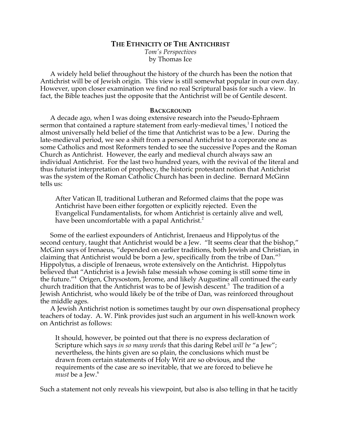# **THE ETHNICITY OF THE ANTICHRIST**

*Tom's Perspectives* by Thomas Ice

A widely held belief throughout the history of the church has been the notion that Antichrist will be of Jewish origin. This view is still somewhat popular in our own day. However, upon closer examination we find no real Scriptural basis for such a view. In fact, the Bible teaches just the opposite that the Antichrist will be of Gentile descent.

## **BACKGROUND**

A decade ago, when I was doing extensive research into the Pseudo-Ephraem sermon that contained a rapture statement from early-medieval times, $^1$  I noticed the almost universally held belief of the time that Antichrist was to be a Jew. During the late-medieval period, we see a shift from a personal Antichrist to a corporate one as some Catholics and most Reformers tended to see the successive Popes and the Roman Church as Antichrist. However, the early and medieval church always saw an individual Antichrist. For the last two hundred years, with the revival of the literal and thus futurist interpretation of prophecy, the historic protestant notion that Antichrist was the system of the Roman Catholic Church has been in decline. Bernard McGinn tells us:

After Vatican II, traditional Lutheran and Reformed claims that the pope was Antichrist have been either forgotten or explicitly rejected. Even the Evangelical Fundamentalists, for whom Antichrist is certainly alive and well, have been uncomfortable with a papal Antichrist.<sup>2</sup>

Some of the earliest expounders of Antichrist, Irenaeus and Hippolytus of the second century, taught that Antichrist would be a Jew. "It seems clear that the bishop," McGinn says of Irenaeus, "depended on earlier traditions, both Jewish and Christian, in claiming that Antichrist would be born a Jew, specifically from the tribe of Dan."<sup>3</sup> Hippolytus, a disciple of Irenaeus, wrote extensively on the Antichrist. Hippolytus believed that "Antichrist is a Jewish false messiah whose coming is still some time in the future."<sup>4</sup> Origen, Chrysostom, Jerome, and likely Augustine all continued the early church tradition that the Antichrist was to be of Jewish descent.<sup>5</sup> The tradition of a Jewish Antichrist, who would likely be of the tribe of Dan, was reinforced throughout the middle ages.

A Jewish Antichrist notion is sometimes taught by our own dispensational prophecy teachers of today. A. W. Pink provides just such an argument in his well-known work on Antichrist as follows:

It should, however, be pointed out that there is no express declaration of Scripture which says *in so many words* that this daring Rebel *will be* "a Jew"; nevertheless, the hints given are so plain, the conclusions which must be drawn from certain statements of Holy Writ are so obvious, and the requirements of the case are so inevitable, that we are forced to believe he *must* be a Jew.<sup>6</sup>

Such a statement not only reveals his viewpoint, but also is also telling in that he tacitly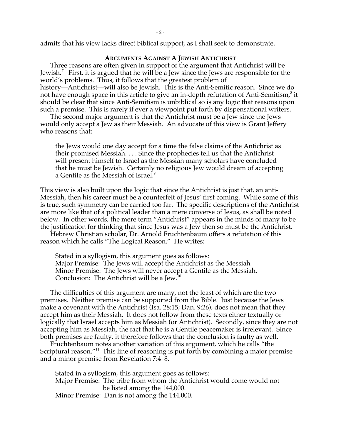admits that his view lacks direct biblical support, as I shall seek to demonstrate.

## **ARGUMENTS AGAINST A JEWISH ANTICHRIST**

Three reasons are often given in support of the argument that Antichrist will be Jewish.<sup>7</sup> First, it is argued that he will be a Jew since the Jews are responsible for the world's problems. Thus, it follows that the greatest problem of history—Antichrist—will also be Jewish. This is the Anti-Semitic reason. Since we do not have enough space in this article to give an in-depth refutation of Anti-Semitism, $^8$  it should be clear that since Anti-Semitism is unbiblical so is any logic that reasons upon such a premise. This is rarely if ever a viewpoint put forth by dispensational writers.

The second major argument is that the Antichrist must be a Jew since the Jews would only accept a Jew as their Messiah. An advocate of this view is Grant Jeffery who reasons that:

the Jews would one day accept for a time the false claims of the Antichrist as their promised Messiah. . . . Since the prophecies tell us that the Antichrist will present himself to Israel as the Messiah many scholars have concluded that he must be Jewish. Certainly no religious Jew would dream of accepting a Gentile as the Messiah of Israel.<sup>9</sup>

This view is also built upon the logic that since the Antichrist is just that, an anti-Messiah, then his career must be a counterfeit of Jesus' first coming. While some of this is true, such symmetry can be carried too far. The specific descriptions of the Antichrist are more like that of a political leader than a mere converse of Jesus, as shall be noted below. In other words, the mere term "Antichrist" appears in the minds of many to be the justification for thinking that since Jesus was a Jew then so must be the Antichrist.

Hebrew Christian scholar, Dr. Arnold Fruchtenbaum offers a refutation of this reason which he calls "The Logical Reason." He writes:

Stated in a syllogism, this argument goes as follows: Major Premise: The Jews will accept the Antichrist as the Messiah Minor Premise: The Jews will never accept a Gentile as the Messiah. Conclusion: The Antichrist will be a Jew.10

The difficulties of this argument are many, not the least of which are the two premises. Neither premise can be supported from the Bible. Just because the Jews make a covenant with the Antichrist (Isa. 28:15; Dan. 9:26), does not mean that they accept him as their Messiah. It does not follow from these texts either textually or logically that Israel accepts him as Messiah (or Antichrist). Secondly, since they are not accepting him as Messiah, the fact that he is a Gentile peacemaker is irrelevant. Since both premises are faulty, it therefore follows that the conclusion is faulty as well.

Fruchtenbaum notes another variation of this argument, which he calls "the Scriptural reason."<sup>11</sup> This line of reasoning is put forth by combining a major premise and a minor premise from Revelation 7:4–8.

Stated in a syllogism, this argument goes as follows: Major Premise: The tribe from whom the Antichrist would come would not be listed among the 144,000. Minor Premise: Dan is not among the 144,000.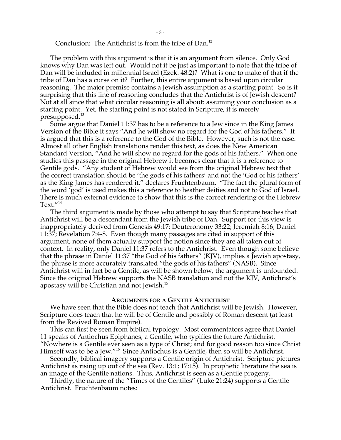Conclusion: The Antichrist is from the tribe of Dan.<sup>12</sup>

The problem with this argument is that it is an argument from silence. Only God knows why Dan was left out. Would not it be just as important to note that the tribe of Dan will be included in millennial Israel (Ezek. 48:2)? What is one to make of that if the tribe of Dan has a curse on it? Further, this entire argument is based upon circular reasoning. The major premise contains a Jewish assumption as a starting point. So is it surprising that this line of reasoning concludes that the Antichrist is of Jewish descent? Not at all since that what circular reasoning is all about: assuming your conclusion as a starting point. Yet, the starting point is not stated in Scripture, it is merely presupposed.<sup>13</sup>

Some argue that Daniel 11:37 has to be a reference to a Jew since in the King James Version of the Bible it says "And he will show no regard for the God of his fathers." It is argued that this is a reference to the God of the Bible. However, such is not the case. Almost all other English translations render this text, as does the New American Standard Version, "And he will show no regard for the gods of his fathers." When one studies this passage in the original Hebrew it becomes clear that it is a reference to Gentile gods. "Any student of Hebrew would see from the original Hebrew text that the correct translation should be 'the gods of his fathers' and not the 'God of his fathers' as the King James has rendered it," declares Fruchtenbaum. "The fact the plural form of the word 'god' is used makes this a reference to heather deities and not to God of Israel. There is much external evidence to show that this is the correct rendering of the Hebrew Text."14

The third argument is made by those who attempt to say that Scripture teaches that Antichrist will be a descendant from the Jewish tribe of Dan. Support for this view is inappropriately derived from Genesis 49:17; Deuteronomy 33:22; Jeremiah 8:16; Daniel 11:37; Revelation 7:4-8. Even though many passages are cited in support of this argument, none of them actually support the notion since they are all taken out of context. In reality, only Daniel 11:37 refers to the Antichrist. Even though some believe that the phrase in Daniel 11:37 "the God of his fathers" (KJV), implies a Jewish apostasy, the phrase is more accurately translated "the gods of his fathers" (NASB). Since Antichrist will in fact be a Gentile, as will be shown below, the argument is unfounded. Since the original Hebrew supports the NASB translation and not the KJV, Antichrist's apostasy will be Christian and not Jewish.<sup>15</sup>

#### **ARGUMENTS FOR A GENTILE ANTICHRIST**

We have seen that the Bible does not teach that Antichrist will be Jewish. However, Scripture does teach that he will be of Gentile and possibly of Roman descent (at least from the Revived Roman Empire).

This can first be seen from biblical typology. Most commentators agree that Daniel 11 speaks of Antiochus Epiphanes, a Gentile, who typifies the future Antichrist. "Nowhere is a Gentile ever seen as a type of Christ; and for good reason too since Christ Himself was to be a Jew."16 Since Antiochus is a Gentile, then so will be Antichrist.

Secondly, biblical imagery supports a Gentile origin of Antichrist. Scripture pictures Antichrist as rising up out of the sea (Rev. 13:1; 17:15). In prophetic literature the sea is an image of the Gentile nations. Thus, Antichrist is seen as a Gentile progeny.

Thirdly, the nature of the "Times of the Gentiles" (Luke 21:24) supports a Gentile Antichrist. Fruchtenbaum notes: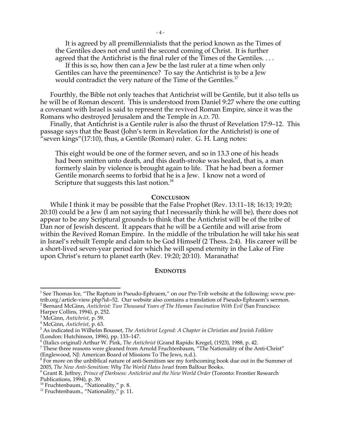It is agreed by all premillennialists that the period known as the Times of the Gentiles does not end until the second coming of Christ. It is further agreed that the Antichrist is the final ruler of the Times of the Gentiles. . . .

If this is so, how then can a Jew be the last ruler at a time when only Gentiles can have the preeminence? To say the Antichrist is to be a Jew would contradict the very nature of the Time of the Gentiles.<sup>17</sup>

Fourthly, the Bible not only teaches that Antichrist will be Gentile, but it also tells us he will be of Roman descent. This is understood from Daniel 9:27 where the one cutting a covenant with Israel is said to represent the revived Roman Empire, since it was the Romans who destroyed Jerusalem and the Temple in A.D. 70.

Finally, that Antichrist is a Gentile ruler is also the thrust of Revelation 17:9–12. This passage says that the Beast (John's term in Revelation for the Antichrist) is one of "seven kings"(17:10), thus, a Gentile (Roman) ruler. G. H. Lang notes:

This eight would be one of the former seven, and so in 13.3 one of his heads had been smitten unto death, and this death-stroke was healed, that is, a man formerly slain by violence is brought again to life. That he had been a former Gentile monarch seems to forbid that he is a Jew. I know not a word of Scripture that suggests this last notion.<sup>18</sup>

#### **CONCLUSION**

While I think it may be possible that the False Prophet (Rev. 13:11–18; 16:13; 19:20; 20:10) could be a Jew (I am not saying that I necessarily think he will be), there does not appear to be any Scriptural grounds to think that the Antichrist will be of the tribe of Dan nor of Jewish descent. It appears that he will be a Gentile and will arise from within the Revived Roman Empire. In the middle of the tribulation he will take his seat in Israel's rebuilt Temple and claim to be God Himself (2 Thess. 2:4). His career will be a short-lived seven-year period for which he will spend eternity in the Lake of Fire upon Christ's return to planet earth (Rev. 19:20; 20:10). Maranatha!

#### **ENDNOTES**

-

<sup>&</sup>lt;sup>1</sup> See Thomas Ice, "The Rapture in Pseudo-Ephraem," on our Pre-Trib website at the following: www.pretrib.org/article-view.php?id=52. Our website also contains a translation of Pseudo-Ephraem's sermon.

<sup>2</sup> Bernard McGinn, *Antichrist: Two Thousand Years of The Human Fascination With Evil* (San Francisco:

Harper Collins, 1994), p. 252.

<sup>&</sup>lt;sup>3</sup> McGinn, *Antichrist*, p. 59.<br><sup>4</sup> McGinn, *Antichrist*, p. 63. McGinn, *Antichrist*, p. 63. <sup>5</sup>

As indicated in Wilhelm Bousset, *The Antichrist Legend: A Chapter in Christian and Jewish Folklore* (London: Hutchinson, 1896), pp. 133–147.

<sup>&</sup>lt;sup>6</sup> (Italics original) Arthur W. Pink, *The Antichrist* (Grand Rapids: Kregel, (1923), 1988, p. 42.<br><sup>7</sup> Those three reasons were gleaned from Arnold Eruchtenbaum. "The Nationality of the A

<sup>&</sup>lt;sup>7</sup> These three reasons were gleaned from Arnold Fruchtenbaum, "The Nationality of the Anti-Christ"

<sup>(</sup>Englewood, NJ: American Board of Missions To The Jews, n.d.).<br><sup>8</sup> For more on the unbiblical nature of anti-Semitism see my forthcoming book due out in the Summer of 2005, *The New Anti-Semitism: Why The World Hates Israel* from Balfour Books. <sup>9</sup>

Grant R. Jeffrey, *Prince of Darkness: Antichrist and the New World Order* (Toronto: Frontier Research Publications, 1994), p. 39.

<sup>&</sup>lt;sup>10</sup> Fruchtenbaum., "Ñationality," p. 8.<br><sup>11</sup> Fruchtenbaum., "Nationality," p. 11.